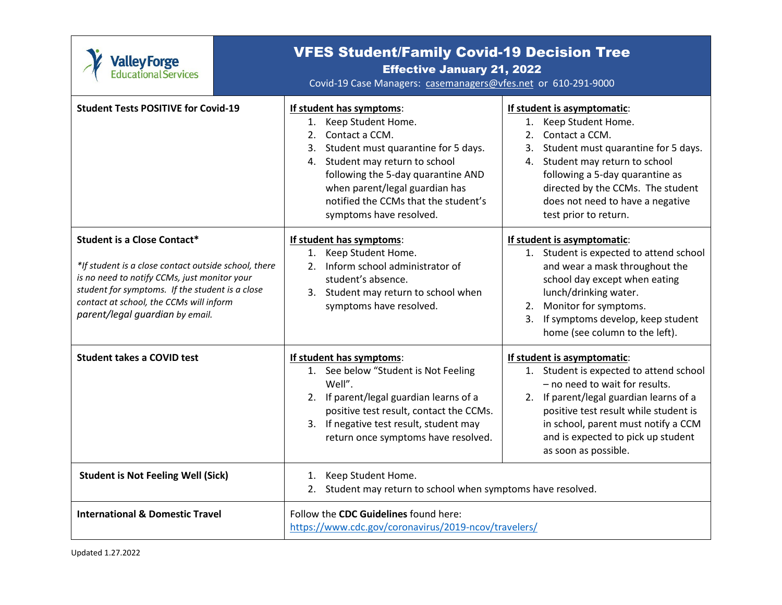

## VFES Student/Family Covid-19 Decision Tree

## Effective January 21, 2022

Covid-19 Case Managers: [casemanagers@vfes.net](mailto:casemanagers@vfes.net) or 610-291-9000

| <b>Student Tests POSITIVE for Covid-19</b>                                                                                                                                                                                                                                  | If student has symptoms:<br>Keep Student Home.<br>1.<br>Contact a CCM.<br>2 <sub>1</sub><br>Student must quarantine for 5 days.<br>3.<br>Student may return to school<br>4.<br>following the 5-day quarantine AND<br>when parent/legal guardian has<br>notified the CCMs that the student's<br>symptoms have resolved. | If student is asymptomatic:<br>1. Keep Student Home.<br>Contact a CCM.<br>2.<br>Student must quarantine for 5 days.<br>3.<br>4. Student may return to school<br>following a 5-day quarantine as<br>directed by the CCMs. The student<br>does not need to have a negative<br>test prior to return. |
|-----------------------------------------------------------------------------------------------------------------------------------------------------------------------------------------------------------------------------------------------------------------------------|------------------------------------------------------------------------------------------------------------------------------------------------------------------------------------------------------------------------------------------------------------------------------------------------------------------------|---------------------------------------------------------------------------------------------------------------------------------------------------------------------------------------------------------------------------------------------------------------------------------------------------|
| <b>Student is a Close Contact*</b><br>*If student is a close contact outside school, there<br>is no need to notify CCMs, just monitor your<br>student for symptoms. If the student is a close<br>contact at school, the CCMs will inform<br>parent/legal guardian by email. | If student has symptoms:<br>Keep Student Home.<br>1.<br>Inform school administrator of<br>2.<br>student's absence.<br>Student may return to school when<br>3.<br>symptoms have resolved.                                                                                                                               | If student is asymptomatic:<br>1. Student is expected to attend school<br>and wear a mask throughout the<br>school day except when eating<br>lunch/drinking water.<br>2. Monitor for symptoms.<br>3. If symptoms develop, keep student<br>home (see column to the left).                          |
| <b>Student takes a COVID test</b>                                                                                                                                                                                                                                           | If student has symptoms:<br>1. See below "Student is Not Feeling<br>Well".<br>2. If parent/legal guardian learns of a<br>positive test result, contact the CCMs.<br>If negative test result, student may<br>3.<br>return once symptoms have resolved.                                                                  | If student is asymptomatic:<br>1. Student is expected to attend school<br>- no need to wait for results.<br>2. If parent/legal guardian learns of a<br>positive test result while student is<br>in school, parent must notify a CCM<br>and is expected to pick up student<br>as soon as possible. |
| <b>Student is Not Feeling Well (Sick)</b>                                                                                                                                                                                                                                   | Keep Student Home.<br>1.<br>Student may return to school when symptoms have resolved.<br>2.                                                                                                                                                                                                                            |                                                                                                                                                                                                                                                                                                   |
| <b>International &amp; Domestic Travel</b>                                                                                                                                                                                                                                  | Follow the CDC Guidelines found here:<br>https://www.cdc.gov/coronavirus/2019-ncov/travelers/                                                                                                                                                                                                                          |                                                                                                                                                                                                                                                                                                   |